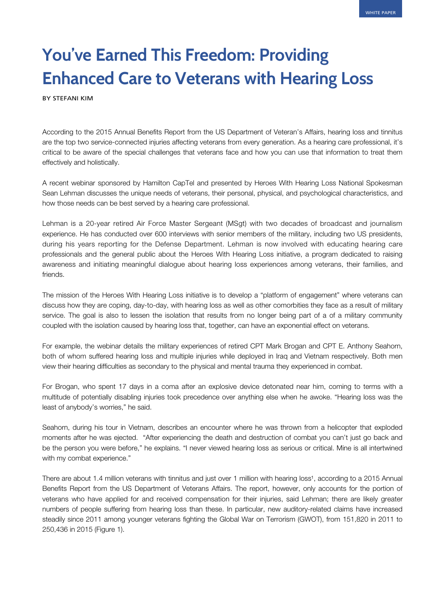## **You've Earned This Freedom: Providing Enhanced Care to Veterans with Hearing Loss**

BY STEFANI KIM

According to the 2015 Annual Benefits Report from the US Department of Veteran's Affairs, hearing loss and tinnitus are the top two service-connected injuries affecting veterans from every generation. As a hearing care professional, it's critical to be aware of the special challenges that veterans face and how you can use that information to treat them effectively and holistically.

A recent webinar sponsored by Hamilton CapTel and presented by Heroes With Hearing Loss National Spokesman Sean Lehman discusses the unique needs of veterans, their personal, physical, and psychological characteristics, and how those needs can be best served by a hearing care professional.

Lehman is a 20-year retired Air Force Master Sergeant (MSgt) with two decades of broadcast and journalism experience. He has conducted over 600 interviews with senior members of the military, including two US presidents, during his years reporting for the Defense Department. Lehman is now involved with educating hearing care professionals and the general public about the Heroes With Hearing Loss initiative, a program dedicated to raising awareness and initiating meaningful dialogue about hearing loss experiences among veterans, their families, and friends.

The mission of the Heroes With Hearing Loss initiative is to develop a "platform of engagement" where veterans can discuss how they are coping, day-to-day, with hearing loss as well as other comorbities they face as a result of military service. The goal is also to lessen the isolation that results from no longer being part of a of a military community coupled with the isolation caused by hearing loss that, together, can have an exponential effect on veterans.

For example, the webinar details the military experiences of retired CPT Mark Brogan and CPT E. Anthony Seahorn, both of whom suffered hearing loss and multiple injuries while deployed in Iraq and Vietnam respectively. Both men view their hearing difficulties as secondary to the physical and mental trauma they experienced in combat.

For Brogan, who spent 17 days in a coma after an explosive device detonated near him, coming to terms with a multitude of potentially disabling injuries took precedence over anything else when he awoke. "Hearing loss was the least of anybody's worries," he said.

Seahorn, during his tour in Vietnam, describes an encounter where he was thrown from a helicopter that exploded moments after he was ejected. "After experiencing the death and destruction of combat you can't just go back and be the person you were before," he explains. "I never viewed hearing loss as serious or critical. Mine is all intertwined with my combat experience."

There are about 1.4 million veterans with tinnitus and just over 1 million with hearing loss<sup>1</sup>, according to a 2015 Annual Benefits Report from the US Department of Veterans Affairs. The report, however, only accounts for the portion of veterans who have applied for and received compensation for their injuries, said Lehman; there are likely greater numbers of people suffering from hearing loss than these. In particular, new auditory-related claims have increased steadily since 2011 among younger veterans fighting the Global War on Terrorism (GWOT), from 151,820 in 2011 to 250,436 in 2015 (Figure 1).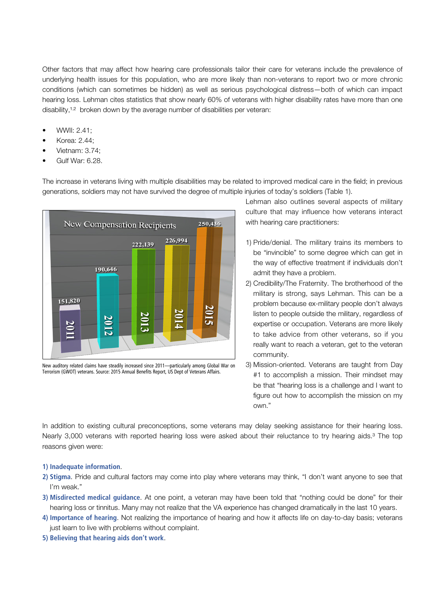Other factors that may affect how hearing care professionals tailor their care for veterans include the prevalence of underlying health issues for this population, who are more likely than non-veterans to report two or more chronic conditions (which can sometimes be hidden) as well as serious psychological distress—both of which can impact hearing loss. Lehman cites statistics that show nearly 60% of veterans with higher disability rates have more than one disability,1, 2 broken down by the average number of disabilities per veteran:

- WWII: 2.41;
- Korea: 2.44;
- Vietnam: 3.74;
- Gulf War: 6.28.

The increase in veterans living with multiple disabilities may be related to improved medical care in the field; in previous generations, soldiers may not have survived the degree of multiple injuries of today's soldiers (Table 1).



New auditory related claims have steadily increased since 2011—particularly among Global War on Terrorism (GWOT) veterans. Source: 2015 Annual Benefits Report, US Dept of Veterans Affairs.

Lehman also outlines several aspects of military culture that may influence how veterans interact with hearing care practitioners:

- 1) Pride/denial. The military trains its members to be "invincible" to some degree which can get in the way of effective treatment if individuals don't admit they have a problem.
- 2) Credibility/The Fraternity. The brotherhood of the military is strong, says Lehman. This can be a problem because ex-military people don't always listen to people outside the military, regardless of expertise or occupation. Veterans are more likely to take advice from other veterans, so if you really want to reach a veteran, get to the veteran community.
- 3) Mission-oriented. Veterans are taught from Day #1 to accomplish a mission. Their mindset may be that "hearing loss is a challenge and I want to figure out how to accomplish the mission on my own."

In addition to existing cultural preconceptions, some veterans may delay seeking assistance for their hearing loss. Nearly 3,000 veterans with reported hearing loss were asked about their reluctance to try hearing aids.<sup>3</sup> The top reasons given were:

## **1) Inadequate information**.

- **2) Stigma**. Pride and cultural factors may come into play where veterans may think, "I don't want anyone to see that I'm weak."
- **3) Misdirected medical guidance**. At one point, a veteran may have been told that "nothing could be done" for their hearing loss or tinnitus. Many may not realize that the VA experience has changed dramatically in the last 10 years.
- **4) Importance of hearing**. Not realizing the importance of hearing and how it affects life on day-to-day basis; veterans just learn to live with problems without complaint.
- **5) Believing that hearing aids don't work**.